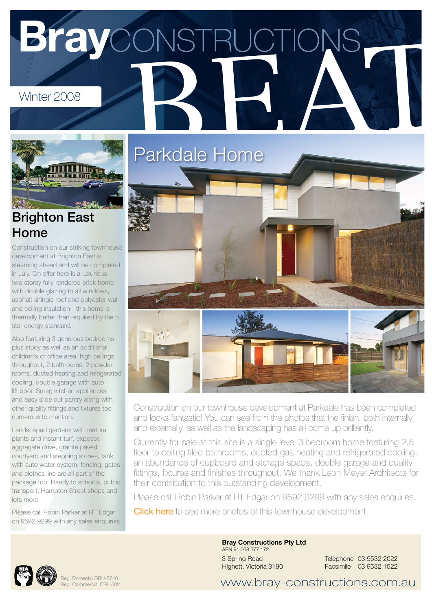## BrayCONSTRUCTIONS



Construction on our striking townhouse development at Brighton East is steaming ahead and will be completed in July. On offer here is a luxurious two storey fully rendered brick home with double glazing to all windows. asphalt shingle roof and polyester wall and ceiling insulation - this home is thermally better than required by the 5 star energy standard.

Also featuring 3 generous bedrooms plus study as well as an additional children's or office area, high ceilings throughout, 2 bathrooms, 2 powder rooms, ducted heating and refrigerated cooling, double garage with auto lift door, Smeg kitchen appliances and easy slide out pantry along with other quality fittings and fixtures too numerous to mention.

Landscaped gardens with mature plants and instant turf, exposed aggregate drive, granite paved courtyard and stepping stones, tank with auto water system, fencing, gates and clothes line are all part of the package too. Handy to schools, public transport, Hampton Street shops and lots more.

Please call Robin Parker at RT Edgar on 9592 9299 with any sales enquiries.



Construction on our townhouse development at Parkdale has been completed and looks fantastic! You can see from the photos that the finish, both internally and externally, as well as the landscaping has all come up brilliantly.

Currently for sale at this site is a single level 3 bedroom home featuring 2.5 floor to ceiling tiled bathrooms, ducted gas heating and refrigerated cooling, an abundance of cupboard and storage space, double garage and quality fittings, fixtures and finishes throughout. We thank Leon Meyer Architects for their contribution to this outstanding development.

Please call Robin Parker at RT Edgar on 9592 9299 with any sales enquiries.

**[Click here](http://bray-constructions.com.au/bray-constructions-projects/townhouse-developments/parkdale.html)** to see more photos of this townhouse development.



Reg. Domestic DBU-7740 Reg. Commercial CBL-502 Bray Constructions Pty Ltd ABN 91 068 377 172 3 Spring Road Highett, Victoria 3190

Telephone 03 9532 2022 Facsimile 03 9532 1522

www.bray-constructions.com.au